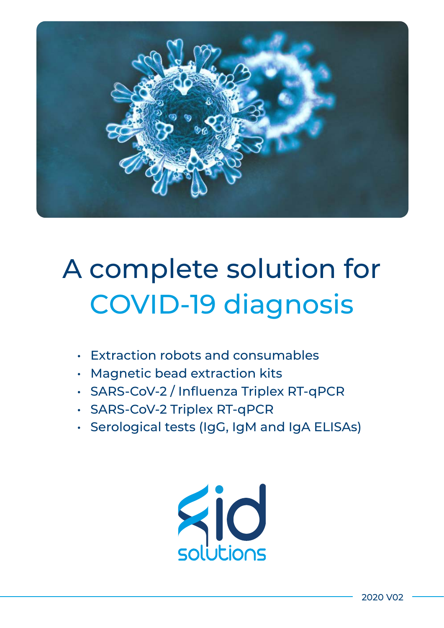

# A complete solution for COVID-19 diagnosis

- Extraction robots and consumables
- Magnetic bead extraction kits
- SARS-CoV-2 / Influenza Triplex RT-qPCR
- SARS-CoV-2 Triplex RT-qPCR
- Serological tests (IgG, IgM and IgA ELISAs)

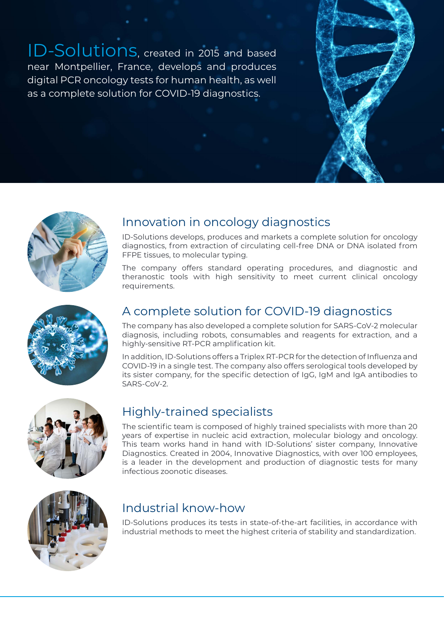ID-Solutions, created in 2015 and based near Montpellier, France, develops and produces digital PCR oncology tests for human health, as well as a complete solution for COVID-19 diagnostics.



# Innovation in oncology diagnostics

ID-Solutions develops, produces and markets a complete solution for oncology diagnostics, from extraction of circulating cell-free DNA or DNA isolated from FFPE tissues, to molecular typing.

The company offers standard operating procedures, and diagnostic and theranostic tools with high sensitivity to meet current clinical oncology requirements.



# A complete solution for COVID-19 diagnostics

The company has also developed a complete solution for SARS-CoV-2 molecular diagnosis, including robots, consumables and reagents for extraction, and a highly-sensitive RT-PCR amplification kit.

In addition, ID-Solutions offers a Triplex RT-PCR for the detection of Influenza and COVID-19 in a single test. The company also offers serological tools developed by its sister company, for the specific detection of IgG, IgM and IgA antibodies to SARS-CoV-2.



## Highly-trained specialists

The scientific team is composed of highly trained specialists with more than 20 years of expertise in nucleic acid extraction, molecular biology and oncology. This team works hand in hand with ID-Solutions' sister company, Innovative Diagnostics. Created in 2004, Innovative Diagnostics, with over 100 employees, is a leader in the development and production of diagnostic tests for many infectious zoonotic diseases.



# Industrial know-how

ID-Solutions produces its tests in state-of-the-art facilities, in accordance with industrial methods to meet the highest criteria of stability and standardization.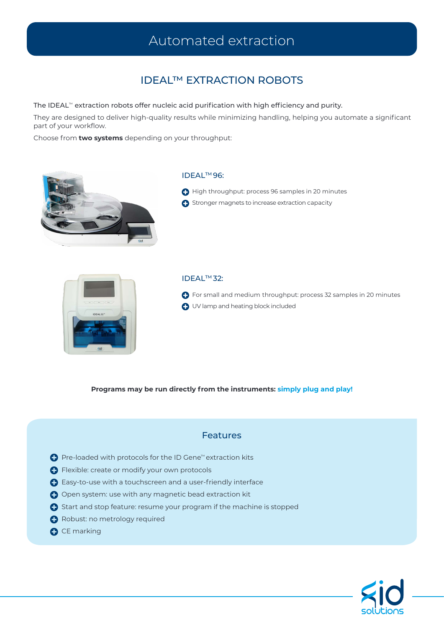# Automated extraction

### IDEAL™ EXTRACTION ROBOTS

#### The IDEAL™ extraction robots offer nucleic acid purification with high efficiency and purity.

They are designed to deliver high-quality results while minimizing handling, helping you automate a significant part of your workflow.

Choose from **two systems** depending on your throughput:



### IDEALTM 96:

- $\bigoplus$  High throughput: process 96 samples in 20 minutes
- **C** Stronger magnets to increase extraction capacity



#### IDEALTM 32:

**C** For small and medium throughput: process 32 samples in 20 minutes UV lamp and heating block included

**Programs may be run directly from the instruments: simply plug and play!**

### Features

- Pre-loaded with protocols for the ID Gene™ extraction kits
- **O** Flexible: create or modify your own protocols
- Easy-to-use with a touchscreen and a user-friendly interface
- Open system: use with any magnetic bead extraction kit
- Start and stop feature: resume your program if the machine is stopped
- **A** Robust: no metrology required
- **O** CE marking

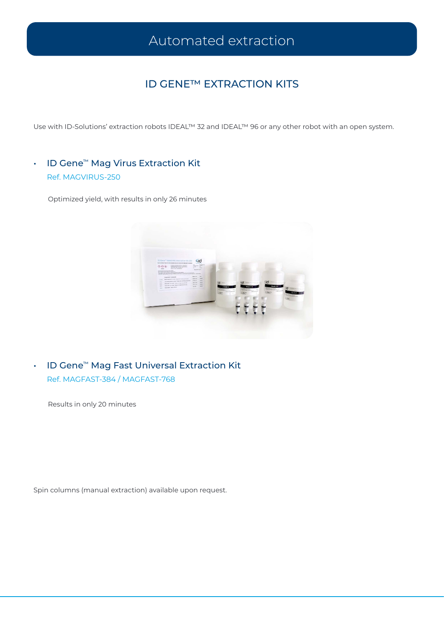# Automated extraction

### ID GENE™ EXTRACTION KITS

Use with ID-Solutions' extraction robots IDEAL™ 32 and IDEAL™ 96 or any other robot with an open system.

• ID Gene™ Mag Virus Extraction Kit Ref. MAGVIRUS-250

Optimized yield, with results in only 26 minutes



• ID Gene™ Mag Fast Universal Extraction Kit Ref. MAGFAST-384 / MAGFAST-768

Results in only 20 minutes

Spin columns (manual extraction) available upon request.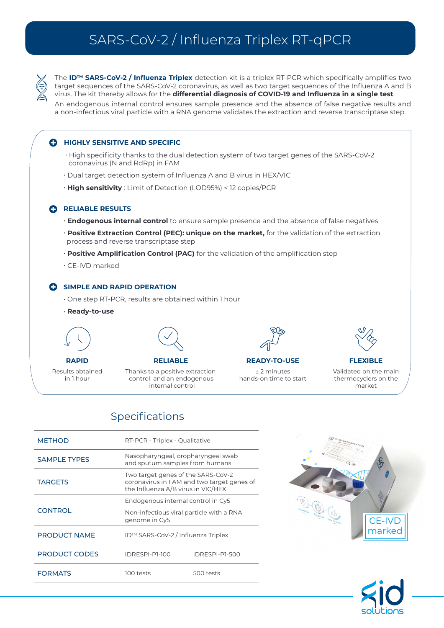# SARS-CoV-2 / Influenza Triplex RT-qPCR

The **IDTM SARS-CoV-2 / Influenza Triplex** detection kit is a triplex RT-PCR which specifically amplifies two target sequences of the SARS-CoV-2 coronavirus, as well as two target sequences of the Influenza A and B virus. The kit thereby allows for the **differential diagnosis of COVID-19 and Influenza in a single test**.

An endogenous internal control ensures sample presence and the absence of false negative results and a non-infectious viral particle with a RNA genome validates the extraction and reverse transcriptase step.

### **C** HIGHLY SENSITIVE AND SPECIFIC

- High specificity thanks to the dual detection system of two target genes of the SARS-CoV-2 coronavirus (N and RdRp) in FAM
- Dual target detection system of Influenza A and B virus in HEX/VIC
- **High sensitivity** : Limit of Detection (LOD95%) < 12 copies/PCR

#### **RELIABLE RESULTS**

- **Endogenous internal control** to ensure sample presence and the absence of false negatives
- **Positive Extraction Control (PEC): unique on the market,** for the validation of the extraction process and reverse transcriptase step
- **Positive Amplification Control (PAC)** for the validation of the amplification step
- CE-IVD marked

#### **C** SIMPLE AND RAPID OPERATION

- One step RT-PCR, results are obtained within 1 hour
- **Ready-to-use**

Results obtained in 1 hour



Thanks to a positive extraction control and an endogenous **RELIABLE** 

internal control



**RAPID FLEXIBLE READY-TO-USE**

± 2 minutes hands-on time to start



Validated on the main thermocyclers on the market

### Specifications

| <b>METHOD</b>       | RT-PCR - Triplex - Qualitative                                                                                         |                |  |
|---------------------|------------------------------------------------------------------------------------------------------------------------|----------------|--|
| <b>SAMPLE TYPES</b> | Nasopharyngeal, oropharyngeal swab<br>and sputum samples from humans                                                   |                |  |
| <b>TARGETS</b>      | Two target genes of the SARS-CoV-2<br>coronavirus in FAM and two target genes of<br>the Influenza A/B virus in VIC/HEX |                |  |
|                     | Endogenous internal control in Cy5                                                                                     |                |  |
| <b>CONTROL</b>      | Non-infectious viral particle with a RNA<br>genome in Cy5                                                              |                |  |
| <b>PRODUCT NAME</b> | ID™ SARS-CoV-2 / Influenza Triplex                                                                                     |                |  |
| PRODUCT CODES       | IDRESPI-P1-100                                                                                                         | IDRESPI-PI-500 |  |
| <b>FORMATS</b>      | 100 tests                                                                                                              | 500 tests      |  |



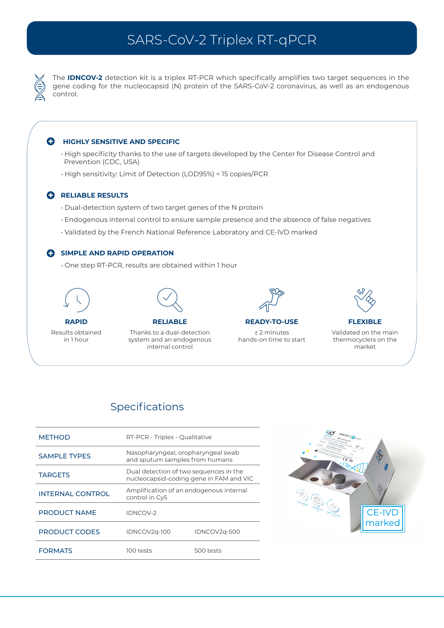# SARS-CoV-2 Triplex RT-qPCR

The **IDNCOV-2** detection kit is a triplex RT-PCR which specifically amplifies two target sequences in the gene coding for the nucleocapsid (N) protein of the SARS-CoV-2 coronavirus, as well as an endogenous control.

#### $\bullet$ **HIGHLY SENSITIVE AND SPECIFIC**

- High specificity thanks to the use of targets developed by the Center for Disease Control and Prevention (CDC, USA)
- High sensitivity: Limit of Detection (LOD95%) < 15 copies/PCR

### **CRELIABLE RESULTS**

- Dual-detection system of two target genes of the N protein
- Endogenous internal control to ensure sample presence and the absence of false negatives
- Validated by the French National Reference Laboratory and CE-IVD marked

### **C** SIMPLE AND RAPID OPERATION

• One step RT-PCR, results are obtained within 1 hour



Results obtained in 1 hour



Thanks to a dual-detection system and an endogenous internal control **RELIABLE RAPID FLEXIBLE READY-TO-USE**



± 2 minutes hands-on time to start



Validated on the main thermocyclers on the market

### Specifications

| <b>METHOD</b>       | RT-PCR - Triplex - Qualitative                                                    |              |  |
|---------------------|-----------------------------------------------------------------------------------|--------------|--|
| <b>SAMPLE TYPES</b> | Nasopharyngeal, oropharyngeal swab<br>and sputum samples from humans              |              |  |
| <b>TARGETS</b>      | Dual detection of two sequences in the<br>nucleocapsid-coding gene in FAM and VIC |              |  |
| INTERNAL CONTROL    | Amplification of an endogenous internal<br>control in Cy5                         |              |  |
| <b>PRODUCT NAME</b> | <b>IDNCOV-2</b>                                                                   |              |  |
| PRODUCT CODES       | IDNCOV2q-100                                                                      | IDNCOV2q-500 |  |
| <b>FORMATS</b>      | 100 tests                                                                         | 500 tests    |  |

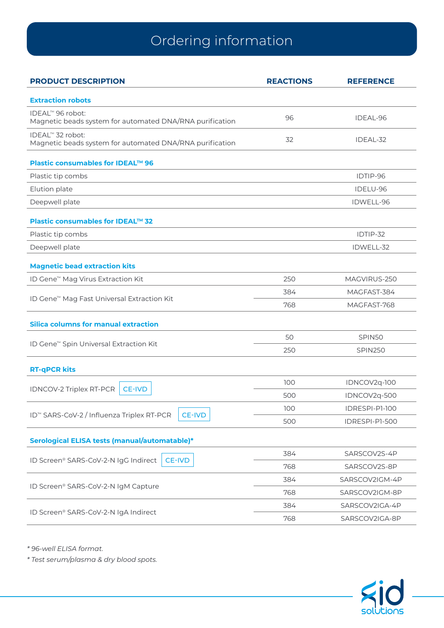# Ordering information

| <b>Extraction robots</b><br>IDEAL™ 96 robot:<br>96<br>IDEAL-96<br>Magnetic beads system for automated DNA/RNA purification<br>IDEAL™ 32 robot:<br>32<br>IDEAL-32<br>Magnetic beads system for automated DNA/RNA purification<br>Plastic consumables for IDEAL™ 96<br>Plastic tip combs<br>IDTIP-96<br>Elution plate<br>IDELU-96<br>Deepwell plate<br>IDWELL-96<br>Plastic consumables for IDEAL™ 32<br>IDTIP-32<br>Plastic tip combs<br>Deepwell plate<br>IDWELL-32<br><b>Magnetic bead extraction kits</b><br>250<br>ID Gene <sup>™</sup> Mag Virus Extraction Kit<br>MAGVIRUS-250<br>MAGFAST-384<br>384<br>ID Gene <sup>™</sup> Mag Fast Universal Extraction Kit<br>768<br>MAGFAST-768<br><b>Silica columns for manual extraction</b><br>50<br>SPIN50<br>ID Gene <sup>™</sup> Spin Universal Extraction Kit<br>250<br><b>SPIN250</b><br><b>RT-qPCR kits</b><br>100<br>IDNCOV2q-100<br><b>IDNCOV-2 Triplex RT-PCR</b><br><b>CE-IVD</b><br>500<br>IDNCOV2q-500<br>IDRESPI-P1-100<br>100<br>ID <sup>™</sup> SARS-CoV-2 / Influenza Triplex RT-PCR<br><b>CE-IVD</b><br>500<br>IDRESPI-P1-500<br>Serological ELISA tests (manual/automatable)*<br>384<br>SARSCOV2S-4P<br>ID Screen® SARS-CoV-2-N IgG Indirect<br><b>CE-IVD</b><br>768<br>SARSCOV2S-8P<br>384<br>SARSCOV2IGM-4P<br>ID Screen® SARS-CoV-2-N IgM Capture<br>768<br>SARSCOV2IGM-8P<br>384<br>SARSCOV2IGA-4P<br>ID Screen® SARS-CoV-2-N IgA Indirect<br>768<br>SARSCOV2IGA-8P | <b>PRODUCT DESCRIPTION</b> | <b>REACTIONS</b> | <b>REFERENCE</b> |
|----------------------------------------------------------------------------------------------------------------------------------------------------------------------------------------------------------------------------------------------------------------------------------------------------------------------------------------------------------------------------------------------------------------------------------------------------------------------------------------------------------------------------------------------------------------------------------------------------------------------------------------------------------------------------------------------------------------------------------------------------------------------------------------------------------------------------------------------------------------------------------------------------------------------------------------------------------------------------------------------------------------------------------------------------------------------------------------------------------------------------------------------------------------------------------------------------------------------------------------------------------------------------------------------------------------------------------------------------------------------------------------------------------------------------------------|----------------------------|------------------|------------------|
|                                                                                                                                                                                                                                                                                                                                                                                                                                                                                                                                                                                                                                                                                                                                                                                                                                                                                                                                                                                                                                                                                                                                                                                                                                                                                                                                                                                                                                        |                            |                  |                  |
|                                                                                                                                                                                                                                                                                                                                                                                                                                                                                                                                                                                                                                                                                                                                                                                                                                                                                                                                                                                                                                                                                                                                                                                                                                                                                                                                                                                                                                        |                            |                  |                  |
|                                                                                                                                                                                                                                                                                                                                                                                                                                                                                                                                                                                                                                                                                                                                                                                                                                                                                                                                                                                                                                                                                                                                                                                                                                                                                                                                                                                                                                        |                            |                  |                  |
|                                                                                                                                                                                                                                                                                                                                                                                                                                                                                                                                                                                                                                                                                                                                                                                                                                                                                                                                                                                                                                                                                                                                                                                                                                                                                                                                                                                                                                        |                            |                  |                  |
|                                                                                                                                                                                                                                                                                                                                                                                                                                                                                                                                                                                                                                                                                                                                                                                                                                                                                                                                                                                                                                                                                                                                                                                                                                                                                                                                                                                                                                        |                            |                  |                  |
|                                                                                                                                                                                                                                                                                                                                                                                                                                                                                                                                                                                                                                                                                                                                                                                                                                                                                                                                                                                                                                                                                                                                                                                                                                                                                                                                                                                                                                        |                            |                  |                  |
|                                                                                                                                                                                                                                                                                                                                                                                                                                                                                                                                                                                                                                                                                                                                                                                                                                                                                                                                                                                                                                                                                                                                                                                                                                                                                                                                                                                                                                        |                            |                  |                  |
|                                                                                                                                                                                                                                                                                                                                                                                                                                                                                                                                                                                                                                                                                                                                                                                                                                                                                                                                                                                                                                                                                                                                                                                                                                                                                                                                                                                                                                        |                            |                  |                  |
|                                                                                                                                                                                                                                                                                                                                                                                                                                                                                                                                                                                                                                                                                                                                                                                                                                                                                                                                                                                                                                                                                                                                                                                                                                                                                                                                                                                                                                        |                            |                  |                  |
|                                                                                                                                                                                                                                                                                                                                                                                                                                                                                                                                                                                                                                                                                                                                                                                                                                                                                                                                                                                                                                                                                                                                                                                                                                                                                                                                                                                                                                        |                            |                  |                  |
|                                                                                                                                                                                                                                                                                                                                                                                                                                                                                                                                                                                                                                                                                                                                                                                                                                                                                                                                                                                                                                                                                                                                                                                                                                                                                                                                                                                                                                        |                            |                  |                  |
|                                                                                                                                                                                                                                                                                                                                                                                                                                                                                                                                                                                                                                                                                                                                                                                                                                                                                                                                                                                                                                                                                                                                                                                                                                                                                                                                                                                                                                        |                            |                  |                  |
|                                                                                                                                                                                                                                                                                                                                                                                                                                                                                                                                                                                                                                                                                                                                                                                                                                                                                                                                                                                                                                                                                                                                                                                                                                                                                                                                                                                                                                        |                            |                  |                  |
|                                                                                                                                                                                                                                                                                                                                                                                                                                                                                                                                                                                                                                                                                                                                                                                                                                                                                                                                                                                                                                                                                                                                                                                                                                                                                                                                                                                                                                        |                            |                  |                  |
|                                                                                                                                                                                                                                                                                                                                                                                                                                                                                                                                                                                                                                                                                                                                                                                                                                                                                                                                                                                                                                                                                                                                                                                                                                                                                                                                                                                                                                        |                            |                  |                  |
|                                                                                                                                                                                                                                                                                                                                                                                                                                                                                                                                                                                                                                                                                                                                                                                                                                                                                                                                                                                                                                                                                                                                                                                                                                                                                                                                                                                                                                        |                            |                  |                  |
|                                                                                                                                                                                                                                                                                                                                                                                                                                                                                                                                                                                                                                                                                                                                                                                                                                                                                                                                                                                                                                                                                                                                                                                                                                                                                                                                                                                                                                        |                            |                  |                  |
|                                                                                                                                                                                                                                                                                                                                                                                                                                                                                                                                                                                                                                                                                                                                                                                                                                                                                                                                                                                                                                                                                                                                                                                                                                                                                                                                                                                                                                        |                            |                  |                  |
|                                                                                                                                                                                                                                                                                                                                                                                                                                                                                                                                                                                                                                                                                                                                                                                                                                                                                                                                                                                                                                                                                                                                                                                                                                                                                                                                                                                                                                        |                            |                  |                  |
|                                                                                                                                                                                                                                                                                                                                                                                                                                                                                                                                                                                                                                                                                                                                                                                                                                                                                                                                                                                                                                                                                                                                                                                                                                                                                                                                                                                                                                        |                            |                  |                  |
|                                                                                                                                                                                                                                                                                                                                                                                                                                                                                                                                                                                                                                                                                                                                                                                                                                                                                                                                                                                                                                                                                                                                                                                                                                                                                                                                                                                                                                        |                            |                  |                  |
|                                                                                                                                                                                                                                                                                                                                                                                                                                                                                                                                                                                                                                                                                                                                                                                                                                                                                                                                                                                                                                                                                                                                                                                                                                                                                                                                                                                                                                        |                            |                  |                  |
|                                                                                                                                                                                                                                                                                                                                                                                                                                                                                                                                                                                                                                                                                                                                                                                                                                                                                                                                                                                                                                                                                                                                                                                                                                                                                                                                                                                                                                        |                            |                  |                  |
|                                                                                                                                                                                                                                                                                                                                                                                                                                                                                                                                                                                                                                                                                                                                                                                                                                                                                                                                                                                                                                                                                                                                                                                                                                                                                                                                                                                                                                        |                            |                  |                  |
|                                                                                                                                                                                                                                                                                                                                                                                                                                                                                                                                                                                                                                                                                                                                                                                                                                                                                                                                                                                                                                                                                                                                                                                                                                                                                                                                                                                                                                        |                            |                  |                  |
|                                                                                                                                                                                                                                                                                                                                                                                                                                                                                                                                                                                                                                                                                                                                                                                                                                                                                                                                                                                                                                                                                                                                                                                                                                                                                                                                                                                                                                        |                            |                  |                  |
|                                                                                                                                                                                                                                                                                                                                                                                                                                                                                                                                                                                                                                                                                                                                                                                                                                                                                                                                                                                                                                                                                                                                                                                                                                                                                                                                                                                                                                        |                            |                  |                  |
|                                                                                                                                                                                                                                                                                                                                                                                                                                                                                                                                                                                                                                                                                                                                                                                                                                                                                                                                                                                                                                                                                                                                                                                                                                                                                                                                                                                                                                        |                            |                  |                  |
|                                                                                                                                                                                                                                                                                                                                                                                                                                                                                                                                                                                                                                                                                                                                                                                                                                                                                                                                                                                                                                                                                                                                                                                                                                                                                                                                                                                                                                        |                            |                  |                  |

*\* 96-well ELISA format.* 

*\* Test serum/plasma & dry blood spots.*